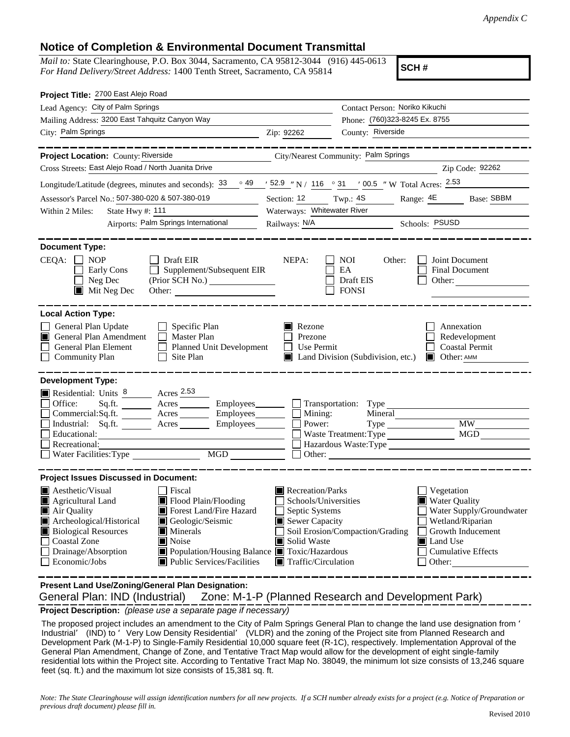## **Notice of Completion & Environmental Document Transmittal**

*Mail to:* State Clearinghouse, P.O. Box 3044, Sacramento, CA 95812-3044 (916) 445-0613 *For Hand Delivery/Street Address:* 1400 Tenth Street, Sacramento, CA 95814

**SCH #**

| Project Title: 2700 East Alejo Road                                                                                                                                                                                                                                                                                                                                                                                                      |                                                                                                                                                                                     |                                                           |                                                          |                                                                                                |  |
|------------------------------------------------------------------------------------------------------------------------------------------------------------------------------------------------------------------------------------------------------------------------------------------------------------------------------------------------------------------------------------------------------------------------------------------|-------------------------------------------------------------------------------------------------------------------------------------------------------------------------------------|-----------------------------------------------------------|----------------------------------------------------------|------------------------------------------------------------------------------------------------|--|
| Lead Agency: City of Palm Springs                                                                                                                                                                                                                                                                                                                                                                                                        |                                                                                                                                                                                     | Contact Person: Noriko Kikuchi                            |                                                          |                                                                                                |  |
| Mailing Address: 3200 East Tahquitz Canyon Way                                                                                                                                                                                                                                                                                                                                                                                           |                                                                                                                                                                                     | Phone: (760)323-8245 Ex. 8755                             |                                                          |                                                                                                |  |
| City: Palm Springs                                                                                                                                                                                                                                                                                                                                                                                                                       | County: Riverside<br>Zip: 92262                                                                                                                                                     |                                                           |                                                          |                                                                                                |  |
| ---------                                                                                                                                                                                                                                                                                                                                                                                                                                |                                                                                                                                                                                     |                                                           |                                                          | ------------                                                                                   |  |
| Project Location: County: Riverside                                                                                                                                                                                                                                                                                                                                                                                                      |                                                                                                                                                                                     | City/Nearest Community: Palm Springs                      |                                                          |                                                                                                |  |
| Cross Streets: East Alejo Road / North Juanita Drive                                                                                                                                                                                                                                                                                                                                                                                     |                                                                                                                                                                                     |                                                           |                                                          | Zip Code: 92262                                                                                |  |
| Longitude/Latitude (degrees, minutes and seconds): $\frac{33}{9}$ $\frac{49}{9}$ $\frac{152.9}{9}$ N / 116 $\degree$ 31 $\degree$ 100.5 $\degree$ W Total Acres: $\frac{2.53}{9}$                                                                                                                                                                                                                                                        |                                                                                                                                                                                     |                                                           |                                                          |                                                                                                |  |
| Assessor's Parcel No.: 507-380-020 & 507-380-019                                                                                                                                                                                                                                                                                                                                                                                         | Section: 12 Twp.: 4S Range: 4E Base: SBBM                                                                                                                                           |                                                           |                                                          |                                                                                                |  |
| State Hwy #: $111$<br>Within 2 Miles:                                                                                                                                                                                                                                                                                                                                                                                                    | Waterways: Whitewater River                                                                                                                                                         |                                                           |                                                          |                                                                                                |  |
| Airports: Palm Springs International                                                                                                                                                                                                                                                                                                                                                                                                     |                                                                                                                                                                                     | Railways: N/A Schools: PSUSD                              |                                                          |                                                                                                |  |
| <b>Document Type:</b><br>$CEQA: \Box NOP$<br>$\Box$ Draft EIR<br>$\Box$ Supplement/Subsequent EIR<br>Early Cons<br>Neg Dec<br>(Prior SCH No.)<br>$\blacksquare$<br>$\blacksquare$ Mit Neg Dec<br>Other:                                                                                                                                                                                                                                  | NEPA:                                                                                                                                                                               | NOI<br>Other:<br>EA<br>Draft EIS<br><b>FONSI</b>          | Other:                                                   | Joint Document<br><b>Final Document</b>                                                        |  |
| General Plan Update<br>$\Box$ Specific Plan<br>General Plan Amendment<br>Master Plan<br>n<br>General Plan Element<br>Planned Unit Development<br>$\Box$ Community Plan<br>Site Plan<br>$\Box$                                                                                                                                                                                                                                            | $\blacksquare$ Rezone<br>Prezone<br>Use Permit<br>$\perp$                                                                                                                           | $\blacksquare$ Land Division (Subdivision, etc.)          | <b>Other: AMM</b>                                        | Annexation<br>Redevelopment<br><b>Coastal Permit</b>                                           |  |
| Residential: Units 8 Acres 2.53<br>Sq.ft. ________ Acres _________ Employees _______ __ __ Transportation: Type _____<br>Office:<br>Commercial:Sq.ft. ________ Acres __________ Employees_________ $\Box$<br>Industrial: Sq.ft. _______ Acres _______ Employees_______<br>Educational:<br>Recreational:                                                                                                                                  | Mining:<br>Power:                                                                                                                                                                   | Mineral<br>Waste Treatment: Type<br>Hazardous Waste: Type |                                                          | <b>MW</b><br>MGD                                                                               |  |
| <b>Project Issues Discussed in Document:</b><br>$\blacksquare$ Aesthetic/Visual<br>  Fiscal<br>Flood Plain/Flooding<br>Agricultural Land<br>Forest Land/Fire Hazard<br>Air Quality<br>Archeological/Historical<br>Geologic/Seismic<br><b>Biological Resources</b><br><b>Minerals</b><br>Noise<br><b>Coastal Zone</b><br>Drainage/Absorption<br>Population/Housing Balance Toxic/Hazardous<br>Public Services/Facilities<br>Economic/Jobs | $\blacksquare$ Recreation/Parks<br>Schools/Universities<br>Septic Systems<br>Sewer Capacity<br>Soil Erosion/Compaction/Grading<br>Solid Waste<br>$\blacksquare$ Traffic/Circulation |                                                           | Vegetation<br><b>Water Quality</b><br>Land Use<br>Other: | Water Supply/Groundwater<br>Wetland/Riparian<br>Growth Inducement<br><b>Cumulative Effects</b> |  |
| <b>Local Action Type:</b><br><b>Development Type:</b>                                                                                                                                                                                                                                                                                                                                                                                    |                                                                                                                                                                                     |                                                           |                                                          |                                                                                                |  |

General Plan: IND (Industrial) **Present Land Use/Zoning/General Plan Designation:** Zone: M-1-P (Planned Research and Development Park)

**Project Description:** *(please use a separate page if necessary)*

 The proposed project includes an amendment to the City of Palm Springs General Plan to change the land use designation from ' Industrial' (IND) to 'Very Low Density Residential' (VLDR) and the zoning of the Project site from Planned Research and Development Park (M-1-P) to Single-Family Residential 10,000 square feet (R-1C), respectively. Implementation Approval of the General Plan Amendment, Change of Zone, and Tentative Tract Map would allow for the development of eight single-family residential lots within the Project site. According to Tentative Tract Map No. 38049, the minimum lot size consists of 13,246 square feet (sq. ft.) and the maximum lot size consists of 15,381 sq. ft.

*Note: The State Clearinghouse will assign identification numbers for all new projects. If a SCH number already exists for a project (e.g. Notice of Preparation or previous draft document) please fill in.*